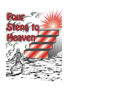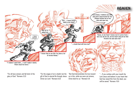

"For all have sinned, and fall short of the glory of God." Romans 3:23

"For the wages of sin is death; but the gift of God is eternal life through Jesus Christ our Lord." Romans 6:23

"But God demonstrates his love toward us in this, while we were yet sinners, Christ died for us." Romans 5:8

"…If you confess with your mouth the Lord Jesus and believe in your heart that God has raised Him from the dead, you will be saved." Romans 10:9